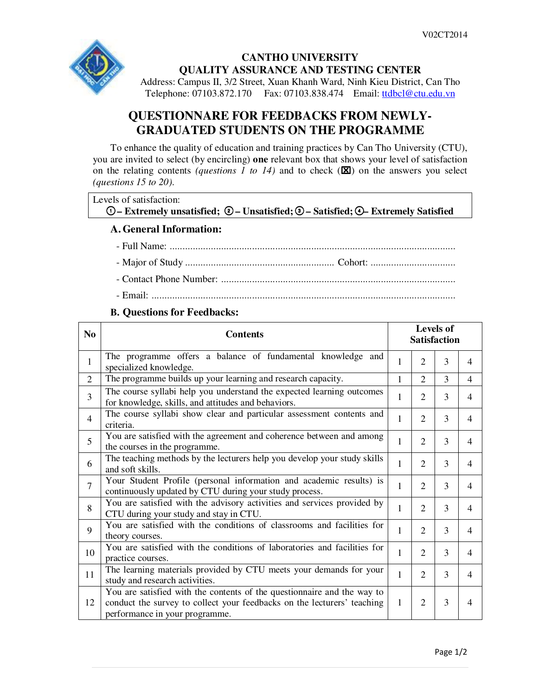

## **CANTHO UNIVERSITY QUALITY ASSURANCE AND TESTING CENTER**

Address: Campus II, 3/2 Street, Xuan Khanh Ward, Ninh Kieu District, Can Tho Telephone: 07103.872.170 Fax: 07103.838.474 Email: ttdbcl@ctu.edu.vn

## **QUESTIONNARE FOR FEEDBACKS FROM NEWLY-GRADUATED STUDENTS ON THE PROGRAMME**

To enhance the quality of education and training practices by Can Tho University (CTU), you are invited to select (by encircling) **one** relevant box that shows your level of satisfaction on the relating contents *(questions 1 to 14)* and to check  $(\mathbf{X})$  on the answers you select *(questions 15 to 20)*.

| Levels of satisfaction:                                                                                                            |  |
|------------------------------------------------------------------------------------------------------------------------------------|--|
| $\circled{0}$ – Extremely unsatisfied; $\circled{0}$ – Unsatisfied; $\circled{0}$ – Satisfied; $\circled{0}$ – Extremely Satisfied |  |

## **A. General Information:**

- Full Name: ............................................................................................................... - Major of Study .......................................................... Cohort: .................................
- Contact Phone Number: ...........................................................................................
- Email: ......................................................................................................................

## **B. Questions for Feedbacks:**

| N <sub>0</sub> | <b>Contents</b>                                                                                                                                                                      | <b>Levels of</b><br><b>Satisfaction</b> |                |   |                |
|----------------|--------------------------------------------------------------------------------------------------------------------------------------------------------------------------------------|-----------------------------------------|----------------|---|----------------|
| $\mathbf{1}$   | The programme offers a balance of fundamental knowledge and<br>specialized knowledge.                                                                                                | 1                                       | $\overline{2}$ | 3 | $\overline{4}$ |
| 2              | The programme builds up your learning and research capacity.                                                                                                                         | 1                                       | $\mathfrak{D}$ | 3 | 4              |
| 3              | The course syllabi help you understand the expected learning outcomes<br>for knowledge, skills, and attitudes and behaviors.                                                         | 1                                       | 2              | 3 | 4              |
| $\overline{4}$ | The course syllabi show clear and particular assessment contents and<br>criteria.                                                                                                    | 1                                       | 2              | 3 | 4              |
| 5              | You are satisfied with the agreement and coherence between and among<br>the courses in the programme.                                                                                | 1                                       | $\overline{2}$ | 3 | 4              |
| 6              | The teaching methods by the lecturers help you develop your study skills<br>and soft skills.                                                                                         | 1                                       | $\overline{2}$ | 3 | 4              |
| $\overline{7}$ | Your Student Profile (personal information and academic results) is<br>continuously updated by CTU during your study process.                                                        | 1                                       | $\mathfrak{D}$ | 3 | 4              |
| 8              | You are satisfied with the advisory activities and services provided by<br>CTU during your study and stay in CTU.                                                                    | 1                                       | $\overline{2}$ | 3 | 4              |
| 9              | You are satisfied with the conditions of classrooms and facilities for<br>theory courses.                                                                                            | 1                                       | $\overline{2}$ | 3 | 4              |
| 10             | You are satisfied with the conditions of laboratories and facilities for<br>practice courses.                                                                                        | 1                                       | $\overline{2}$ | 3 | 4              |
| 11             | The learning materials provided by CTU meets your demands for your<br>study and research activities.                                                                                 | 1                                       | $\mathfrak{D}$ | 3 | 4              |
| 12             | You are satisfied with the contents of the questionnaire and the way to<br>conduct the survey to collect your feedbacks on the lecturers' teaching<br>performance in your programme. | 1                                       | $\overline{2}$ | 3 | 4              |